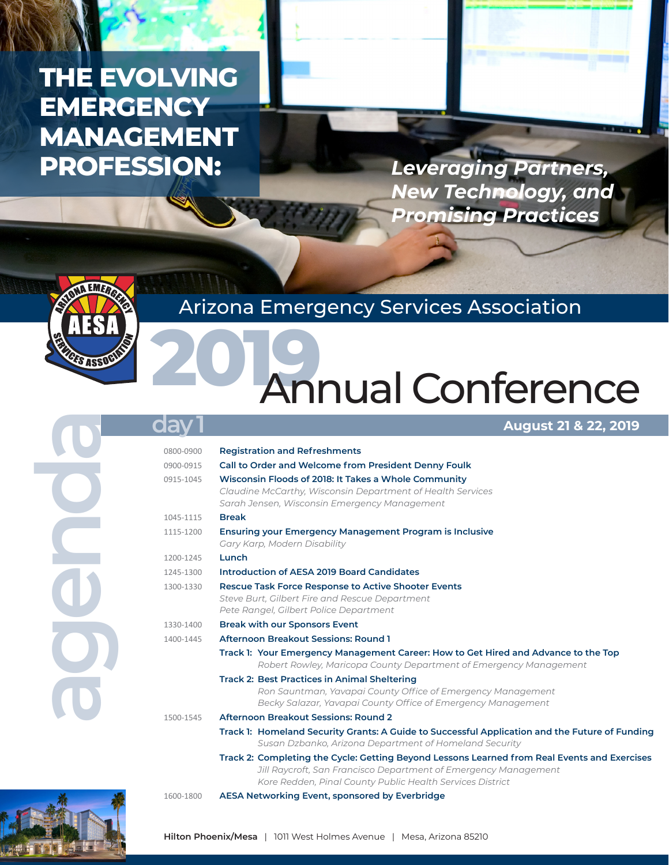# **THE EVOLVING EMERGENCY MANAGEMENT PROFESSION:**

*Leveraging Partners, New Technology, and Promising Practices*



## Arizona Emergency Services Association

# **2019** Annual Conference

### **August 21 & 22, 2019**

| da        | <b>August 21 &amp; 22, 2019</b>                                                                                                                                                                                              |
|-----------|------------------------------------------------------------------------------------------------------------------------------------------------------------------------------------------------------------------------------|
| 0800-0900 | <b>Registration and Refreshments</b>                                                                                                                                                                                         |
| 0900-0915 | Call to Order and Welcome from President Denny Foulk                                                                                                                                                                         |
| 0915-1045 | Wisconsin Floods of 2018: It Takes a Whole Community<br>Claudine McCarthy, Wisconsin Department of Health Services<br>Sarah Jensen, Wisconsin Emergency Management                                                           |
| 1045-1115 | <b>Break</b>                                                                                                                                                                                                                 |
| 1115-1200 | <b>Ensuring your Emergency Management Program is Inclusive</b><br>Gary Karp, Modern Disability                                                                                                                               |
| 1200-1245 | Lunch                                                                                                                                                                                                                        |
| 1245-1300 | Introduction of AESA 2019 Board Candidates                                                                                                                                                                                   |
| 1300-1330 | <b>Rescue Task Force Response to Active Shooter Events</b><br>Steve Burt, Gilbert Fire and Rescue Department<br>Pete Rangel, Gilbert Police Department                                                                       |
| 1330-1400 | <b>Break with our Sponsors Event</b>                                                                                                                                                                                         |
| 1400-1445 | <b>Afternoon Breakout Sessions: Round 1</b>                                                                                                                                                                                  |
|           | Track I: Your Emergency Management Career: How to Get Hired and Advance to the Top<br>Robert Rowley, Maricopa County Department of Emergency Management                                                                      |
|           | <b>Track 2: Best Practices in Animal Sheltering</b><br>Ron Sauntman, Yavapai County Office of Emergency Management<br>Becky Salazar, Yavapai County Office of Emergency Management                                           |
| 1500-1545 | <b>Afternoon Breakout Sessions: Round 2</b>                                                                                                                                                                                  |
|           | Track 1: Homeland Security Grants: A Guide to Successful Application and the Future of Funding<br>Susan Dzbanko, Arizona Department of Homeland Security                                                                     |
|           | Track 2: Completing the Cycle: Getting Beyond Lessons Learned from Real Events and Exercises<br>Jill Raycroft, San Francisco Department of Emergency Management<br>Kore Redden, Pinal County Public Health Services District |
| 1600-1800 | AESA Networking Event, sponsored by Everbridge                                                                                                                                                                               |